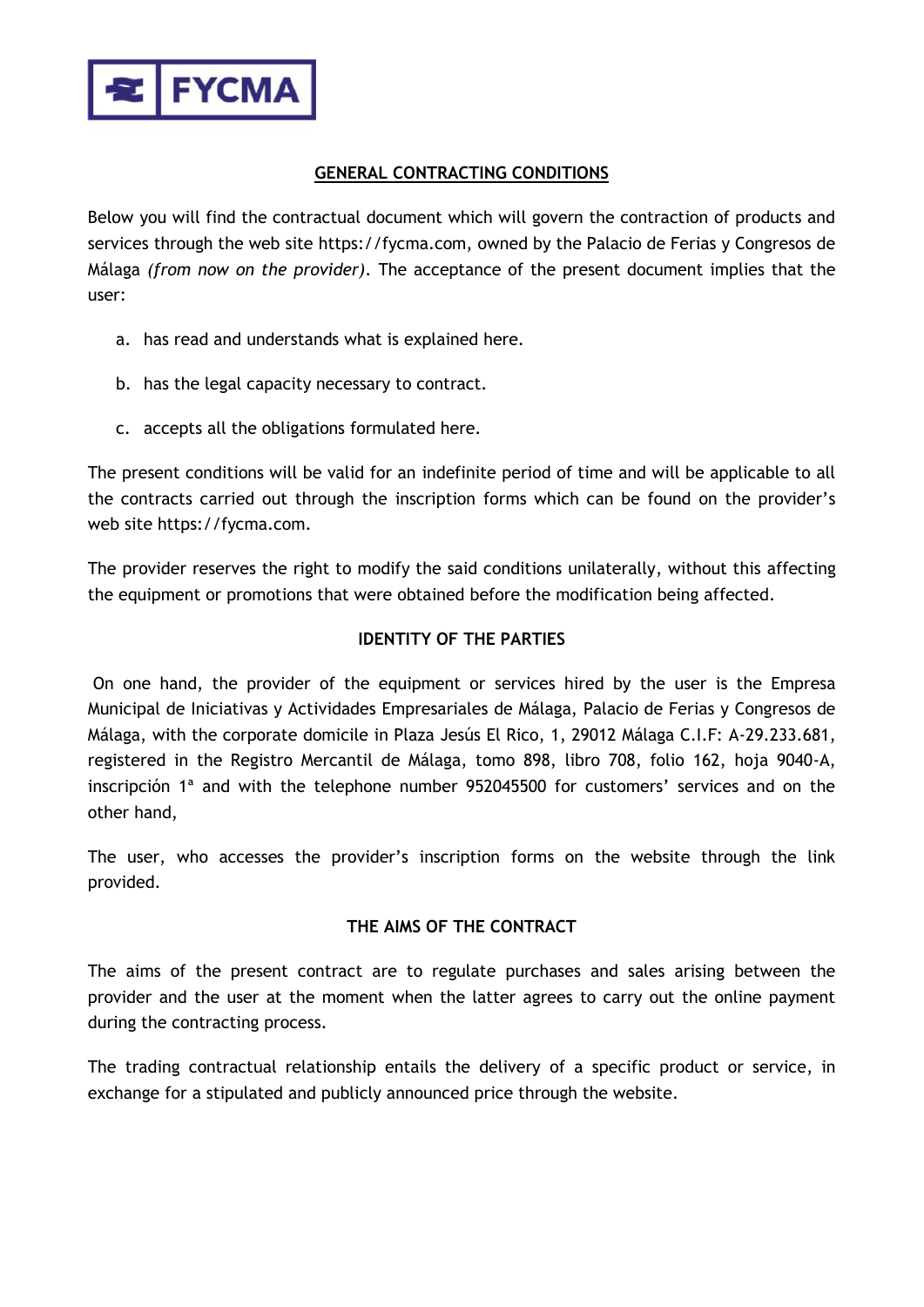

# **GENERAL CONTRACTING CONDITIONS**

Below you will find the contractual document which will govern the contraction of products and services through the web site https://fycma.com, owned by the Palacio de Ferias y Congresos de Málaga *(from now on the provider)*. The acceptance of the present document implies that the user:

- a. has read and understands what is explained here.
- b. has the legal capacity necessary to contract.
- c. accepts all the obligations formulated here.

The present conditions will be valid for an indefinite period of time and will be applicable to all the contracts carried out through the inscription forms which can be found on the provider's web site https://fycma.com.

The provider reserves the right to modify the said conditions unilaterally, without this affecting the equipment or promotions that were obtained before the modification being affected.

# **IDENTITY OF THE PARTIES**

On one hand, the provider of the equipment or services hired by the user is the Empresa Municipal de Iniciativas y Actividades Empresariales de Málaga, Palacio de Ferias y Congresos de Málaga, with the corporate domicile in Plaza Jesús El Rico, 1, 29012 Málaga C.I.F: A-29.233.681, registered in the Registro Mercantil de Málaga, tomo 898, libro 708, folio 162, hoja 9040-A, inscripción 1ª and with the telephone number 952045500 for customers' services and on the other hand,

The user, who accesses the provider's inscription forms on the website through the link provided.

# **THE AIMS OF THE CONTRACT**

The aims of the present contract are to regulate purchases and sales arising between the provider and the user at the moment when the latter agrees to carry out the online payment during the contracting process.

The trading contractual relationship entails the delivery of a specific product or service, in exchange for a stipulated and publicly announced price through the website.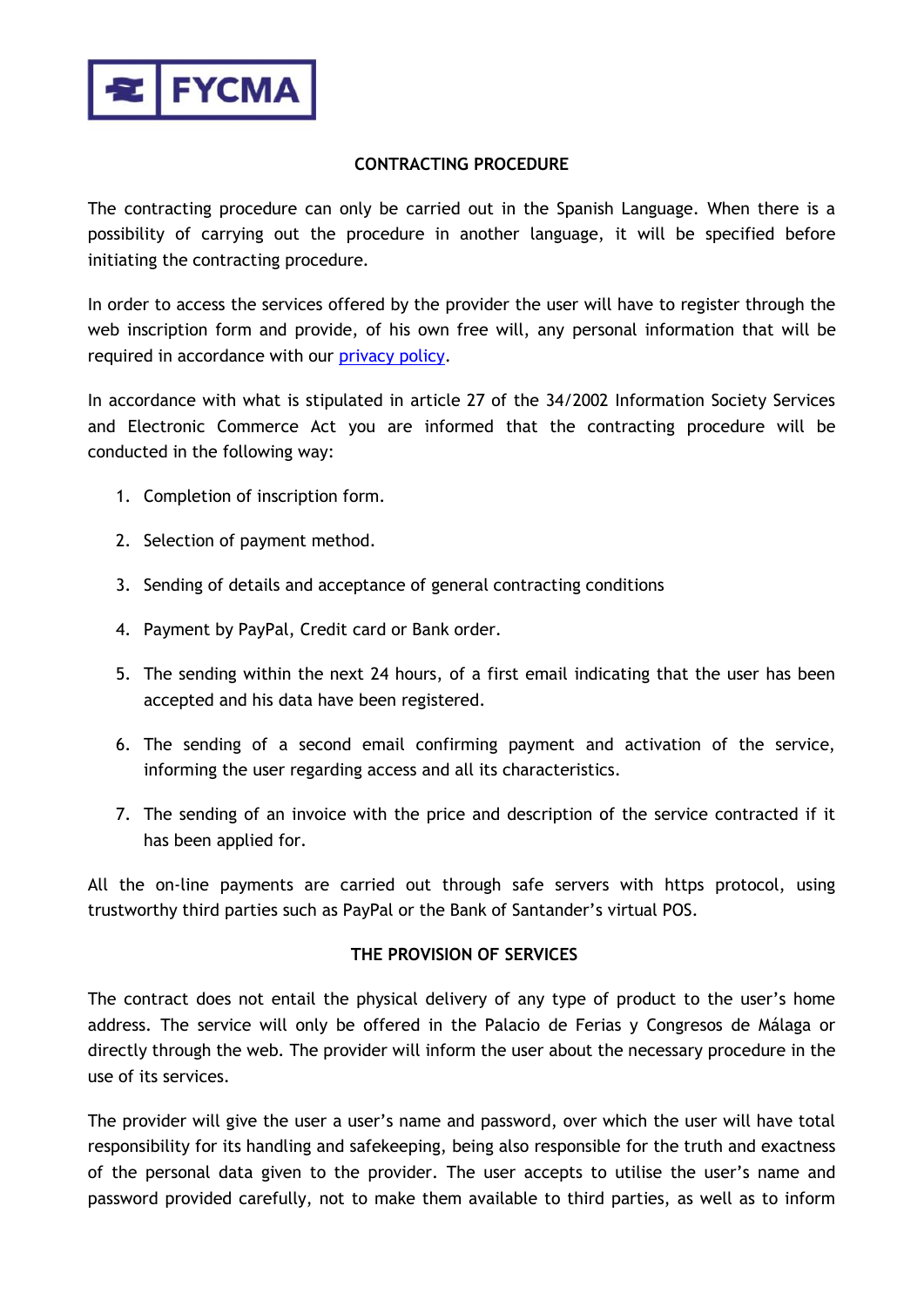

### **CONTRACTING PROCEDURE**

The contracting procedure can only be carried out in the Spanish Language. When there is a possibility of carrying out the procedure in another language, it will be specified before initiating the contracting procedure.

In order to access the services offered by the provider the user will have to register through the web inscription form and provide, of his own free will, any personal information that will be required in accordance with our [privacy policy.](https://fycma.com/privacy/?lang=en)

In accordance with what is stipulated in article 27 of the 34/2002 Information Society Services and Electronic Commerce Act you are informed that the contracting procedure will be conducted in the following way:

- 1. Completion of inscription form.
- 2. Selection of payment method.
- 3. Sending of details and acceptance of general contracting conditions
- 4. Payment by PayPal, Credit card or Bank order.
- 5. The sending within the next 24 hours, of a first email indicating that the user has been accepted and his data have been registered.
- 6. The sending of a second email confirming payment and activation of the service, informing the user regarding access and all its characteristics.
- 7. The sending of an invoice with the price and description of the service contracted if it has been applied for.

All the on-line payments are carried out through safe servers with https protocol, using trustworthy third parties such as PayPal or the Bank of Santander's virtual POS.

#### **THE PROVISION OF SERVICES**

The contract does not entail the physical delivery of any type of product to the user's home address. The service will only be offered in the Palacio de Ferias y Congresos de Málaga or directly through the web. The provider will inform the user about the necessary procedure in the use of its services.

The provider will give the user a user's name and password, over which the user will have total responsibility for its handling and safekeeping, being also responsible for the truth and exactness of the personal data given to the provider. The user accepts to utilise the user's name and password provided carefully, not to make them available to third parties, as well as to inform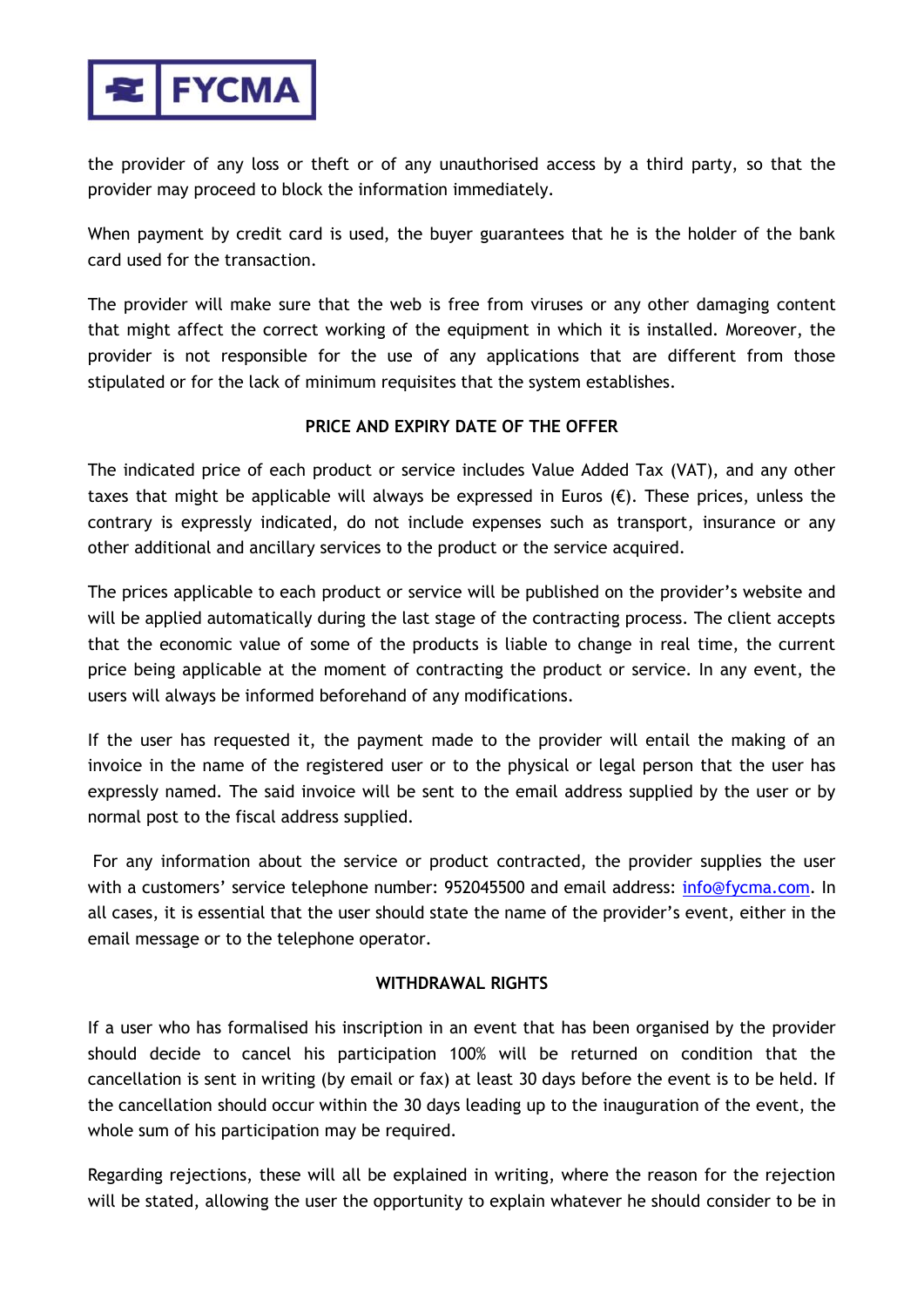

the provider of any loss or theft or of any unauthorised access by a third party, so that the provider may proceed to block the information immediately.

When payment by credit card is used, the buyer guarantees that he is the holder of the bank card used for the transaction.

The provider will make sure that the web is free from viruses or any other damaging content that might affect the correct working of the equipment in which it is installed. Moreover, the provider is not responsible for the use of any applications that are different from those stipulated or for the lack of minimum requisites that the system establishes.

# **PRICE AND EXPIRY DATE OF THE OFFER**

The indicated price of each product or service includes Value Added Tax (VAT), and any other taxes that might be applicable will always be expressed in Euros  $(\epsilon)$ . These prices, unless the contrary is expressly indicated, do not include expenses such as transport, insurance or any other additional and ancillary services to the product or the service acquired.

The prices applicable to each product or service will be published on the provider's website and will be applied automatically during the last stage of the contracting process. The client accepts that the economic value of some of the products is liable to change in real time, the current price being applicable at the moment of contracting the product or service. In any event, the users will always be informed beforehand of any modifications.

If the user has requested it, the payment made to the provider will entail the making of an invoice in the name of the registered user or to the physical or legal person that the user has expressly named. The said invoice will be sent to the email address supplied by the user or by normal post to the fiscal address supplied.

For any information about the service or product contracted, the provider supplies the user with a customers' service telephone number: 952045500 and email address: [info@fycma.com.](mailto:info@fycma.com) In all cases, it is essential that the user should state the name of the provider's event, either in the email message or to the telephone operator.

# **WITHDRAWAL RIGHTS**

If a user who has formalised his inscription in an event that has been organised by the provider should decide to cancel his participation 100% will be returned on condition that the cancellation is sent in writing (by email or fax) at least 30 days before the event is to be held. If the cancellation should occur within the 30 days leading up to the inauguration of the event, the whole sum of his participation may be required.

Regarding rejections, these will all be explained in writing, where the reason for the rejection will be stated, allowing the user the opportunity to explain whatever he should consider to be in